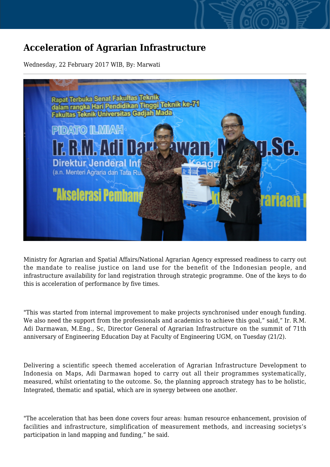## **Acceleration of Agrarian Infrastructure**

Wednesday, 22 February 2017 WIB, By: Marwati



Ministry for Agrarian and Spatial Affairs/National Agrarian Agency expressed readiness to carry out the mandate to realise justice on land use for the benefit of the Indonesian people, and infrastructure availability for land registration through strategic programme. One of the keys to do this is acceleration of performance by five times.

"This was started from internal improvement to make projects synchronised under enough funding. We also need the support from the professionals and academics to achieve this goal," said," Ir. R.M. Adi Darmawan, M.Eng., Sc, Director General of Agrarian Infrastructure on the summit of 71th anniversary of Engineering Education Day at Faculty of Engineering UGM, on Tuesday (21/2).

Delivering a scientific speech themed acceleration of Agrarian Infrastructure Development to Indonesia on Maps, Adi Darmawan hoped to carry out all their programmes systematically, measured, whilst orientating to the outcome. So, the planning approach strategy has to be holistic, Integrated, thematic and spatial, which are in synergy between one another.

"The acceleration that has been done covers four areas: human resource enhancement, provision of facilities and infrastructure, simplification of measurement methods, and increasing societys's participation in land mapping and funding," he said.